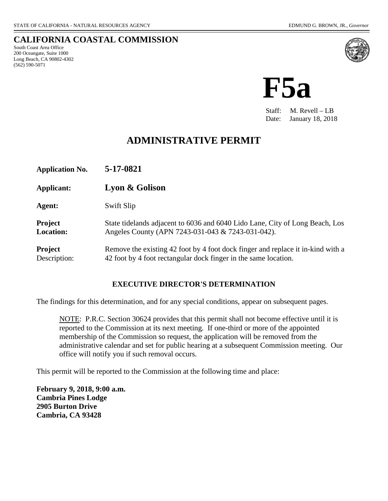#### **CALIFORNIA COASTAL COMMISSION** South Coast Area Office 200 Oceangate, Suite 1000 Long Beach, CA 90802-4302 (562) 590-5071



**F5a**

Staff: M. Revell – LB Date: January 18, 2018

# **ADMINISTRATIVE PERMIT**

**Application No. 5-17-0821 Applicant: Lyon & Golison Agent:** Swift Slip **Project** State tidelands adjacent to 6036 and 6040 Lido Lane, City of Long Beach, Los **Location:** Angeles County (APN 7243-031-043 & 7243-031-042). **Project** Remove the existing 42 foot by 4 foot dock finger and replace it in-kind with a Description: 42 foot by 4 foot rectangular dock finger in the same location.

#### **EXECUTIVE DIRECTOR'S DETERMINATION**

The findings for this determination, and for any special conditions, appear on subsequent pages.

NOTE: P.R.C. Section 30624 provides that this permit shall not become effective until it is reported to the Commission at its next meeting. If one-third or more of the appointed membership of the Commission so request, the application will be removed from the administrative calendar and set for public hearing at a subsequent Commission meeting. Our office will notify you if such removal occurs.

This permit will be reported to the Commission at the following time and place:

**February 9, 2018, 9:00 a.m. Cambria Pines Lodge 2905 Burton Drive Cambria, CA 93428**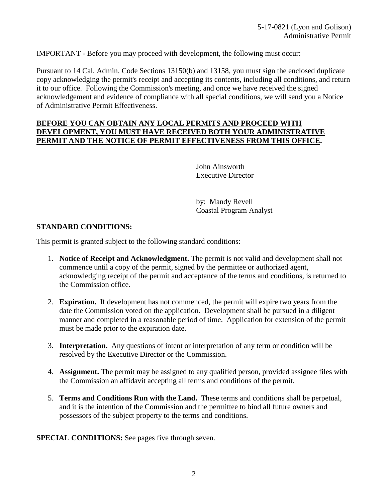#### IMPORTANT - Before you may proceed with development, the following must occur:

Pursuant to 14 Cal. Admin. Code Sections 13150(b) and 13158, you must sign the enclosed duplicate copy acknowledging the permit's receipt and accepting its contents, including all conditions, and return it to our office. Following the Commission's meeting, and once we have received the signed acknowledgement and evidence of compliance with all special conditions, we will send you a Notice of Administrative Permit Effectiveness.

#### **BEFORE YOU CAN OBTAIN ANY LOCAL PERMITS AND PROCEED WITH DEVELOPMENT, YOU MUST HAVE RECEIVED BOTH YOUR ADMINISTRATIVE PERMIT AND THE NOTICE OF PERMIT EFFECTIVENESS FROM THIS OFFICE.**

 John Ainsworth Executive Director

 by: Mandy Revell Coastal Program Analyst

#### **STANDARD CONDITIONS:**

This permit is granted subject to the following standard conditions:

- 1. **Notice of Receipt and Acknowledgment.** The permit is not valid and development shall not commence until a copy of the permit, signed by the permittee or authorized agent, acknowledging receipt of the permit and acceptance of the terms and conditions, is returned to the Commission office.
- 2. **Expiration.** If development has not commenced, the permit will expire two years from the date the Commission voted on the application. Development shall be pursued in a diligent manner and completed in a reasonable period of time. Application for extension of the permit must be made prior to the expiration date.
- 3. **Interpretation.** Any questions of intent or interpretation of any term or condition will be resolved by the Executive Director or the Commission.
- 4. **Assignment.** The permit may be assigned to any qualified person, provided assignee files with the Commission an affidavit accepting all terms and conditions of the permit.
- 5. **Terms and Conditions Run with the Land.** These terms and conditions shall be perpetual, and it is the intention of the Commission and the permittee to bind all future owners and possessors of the subject property to the terms and conditions.

**SPECIAL CONDITIONS:** See pages five through seven.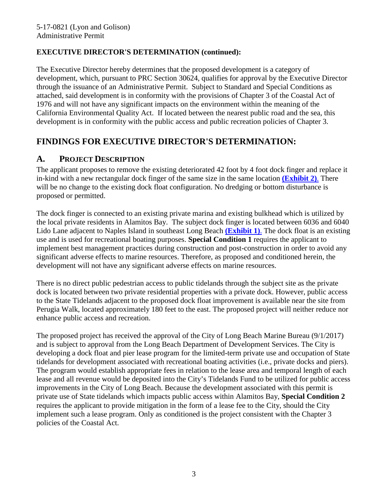### **EXECUTIVE DIRECTOR'S DETERMINATION (continued):**

The Executive Director hereby determines that the proposed development is a category of development, which, pursuant to PRC Section 30624, qualifies for approval by the Executive Director through the issuance of an Administrative Permit. Subject to Standard and Special Conditions as attached, said development is in conformity with the provisions of Chapter 3 of the Coastal Act of 1976 and will not have any significant impacts on the environment within the meaning of the California Environmental Quality Act. If located between the nearest public road and the sea, this development is in conformity with the public access and public recreation policies of Chapter 3.

# **FINDINGS FOR EXECUTIVE DIRECTOR'S DETERMINATION:**

### **A. PROJECT DESCRIPTION**

The applicant proposes to remove the existing deteriorated 42 foot by 4 foot dock finger and replace it in-kind with a new rectangular dock finger of the same size in the same location **[\(Exhibit 2\)](https://documents.coastal.ca.gov/reports/2018/2/F5a/F5a-2-2018-exhibits.pdf)**. There will be no change to the existing dock float configuration. No dredging or bottom disturbance is proposed or permitted.

The dock finger is connected to an existing private marina and existing bulkhead which is utilized by the local private residents in Alamitos Bay. The subject dock finger is located between 6036 and 6040 Lido Lane adjacent to Naples Island in southeast Long Beach **[\(Exhibit 1\)](https://documents.coastal.ca.gov/reports/2018/2/F5a/F5a-2-2018-exhibits.pdf)**. The dock float is an existing use and is used for recreational boating purposes. **Special Condition 1** requires the applicant to implement best management practices during construction and post-construction in order to avoid any significant adverse effects to marine resources. Therefore, as proposed and conditioned herein, the development will not have any significant adverse effects on marine resources.

There is no direct public pedestrian access to public tidelands through the subject site as the private dock is located between two private residential properties with a private dock. However, public access to the State Tidelands adjacent to the proposed dock float improvement is available near the site from Perugia Walk, located approximately 180 feet to the east. The proposed project will neither reduce nor enhance public access and recreation.

The proposed project has received the approval of the City of Long Beach Marine Bureau (9/1/2017) and is subject to approval from the Long Beach Department of Development Services. The City is developing a dock float and pier lease program for the limited-term private use and occupation of State tidelands for development associated with recreational boating activities (i.e., private docks and piers). The program would establish appropriate fees in relation to the lease area and temporal length of each lease and all revenue would be deposited into the City's Tidelands Fund to be utilized for public access improvements in the City of Long Beach. Because the development associated with this permit is private use of State tidelands which impacts public access within Alamitos Bay, **Special Condition 2** requires the applicant to provide mitigation in the form of a lease fee to the City, should the City implement such a lease program. Only as conditioned is the project consistent with the Chapter 3 policies of the Coastal Act.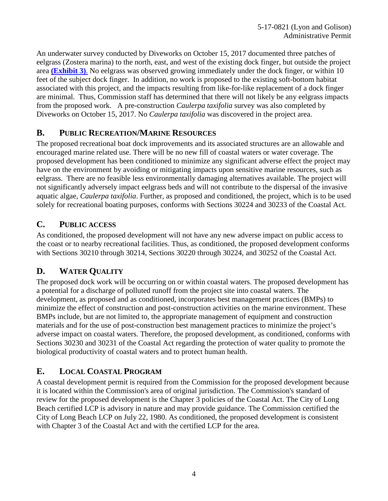An underwater survey conducted by Diveworks on October 15, 2017 documented three patches of eelgrass (Zostera marina) to the north, east, and west of the existing dock finger, but outside the project area **[\(Exhibit 3\)](https://documents.coastal.ca.gov/reports/2018/2/F5a/F5a-2-2018-exhibits.pdf)**. No eelgrass was observed growing immediately under the dock finger, or within 10 feet of the subject dock finger. In addition, no work is proposed to the existing soft-bottom habitat associated with this project, and the impacts resulting from like-for-like replacement of a dock finger are minimal. Thus, Commission staff has determined that there will not likely be any eelgrass impacts from the proposed work. A pre-construction *Caulerpa taxifolia* survey was also completed by Diveworks on October 15, 2017. No *Caulerpa taxifolia* was discovered in the project area.

# **B. PUBLIC RECREATION/MARINE RESOURCES**

The proposed recreational boat dock improvements and its associated structures are an allowable and encouraged marine related use. There will be no new fill of coastal waters or water coverage. The proposed development has been conditioned to minimize any significant adverse effect the project may have on the environment by avoiding or mitigating impacts upon sensitive marine resources, such as eelgrass. There are no feasible less environmentally damaging alternatives available. The project will not significantly adversely impact eelgrass beds and will not contribute to the dispersal of the invasive aquatic algae, *Caulerpa taxifolia*. Further, as proposed and conditioned, the project, which is to be used solely for recreational boating purposes, conforms with Sections 30224 and 30233 of the Coastal Act.

## **C. PUBLIC ACCESS**

As conditioned, the proposed development will not have any new adverse impact on public access to the coast or to nearby recreational facilities. Thus, as conditioned, the proposed development conforms with Sections 30210 through 30214, Sections 30220 through 30224, and 30252 of the Coastal Act.

## **D. WATER QUALITY**

The proposed dock work will be occurring on or within coastal waters. The proposed development has a potential for a discharge of polluted runoff from the project site into coastal waters. The development, as proposed and as conditioned, incorporates best management practices (BMPs) to minimize the effect of construction and post-construction activities on the marine environment. These BMPs include, but are not limited to, the appropriate management of equipment and construction materials and for the use of post-construction best management practices to minimize the project's adverse impact on coastal waters. Therefore, the proposed development, as conditioned, conforms with Sections 30230 and 30231 of the Coastal Act regarding the protection of water quality to promote the biological productivity of coastal waters and to protect human health.

# **E. LOCAL COASTAL PROGRAM**

A coastal development permit is required from the Commission for the proposed development because it is located within the Commission's area of original jurisdiction. The Commission's standard of review for the proposed development is the Chapter 3 policies of the Coastal Act. The City of Long Beach certified LCP is advisory in nature and may provide guidance. The Commission certified the City of Long Beach LCP on July 22, 1980. As conditioned, the proposed development is consistent with Chapter 3 of the Coastal Act and with the certified LCP for the area.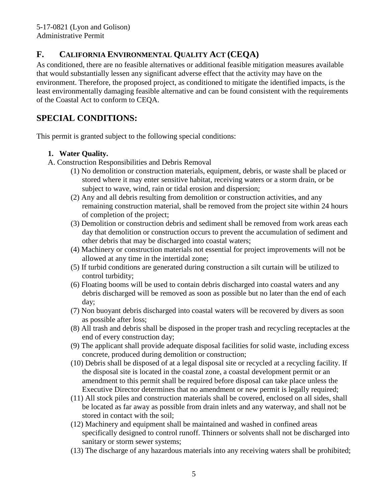# **F. CALIFORNIA ENVIRONMENTAL QUALITY ACT (CEQA)**

As conditioned, there are no feasible alternatives or additional feasible mitigation measures available that would substantially lessen any significant adverse effect that the activity may have on the environment. Therefore, the proposed project, as conditioned to mitigate the identified impacts, is the least environmentally damaging feasible alternative and can be found consistent with the requirements of the Coastal Act to conform to CEQA.

# **SPECIAL CONDITIONS:**

This permit is granted subject to the following special conditions:

### **1. Water Quality.**

- A. Construction Responsibilities and Debris Removal
	- (1) No demolition or construction materials, equipment, debris, or waste shall be placed or stored where it may enter sensitive habitat, receiving waters or a storm drain, or be subject to wave, wind, rain or tidal erosion and dispersion;
	- (2) Any and all debris resulting from demolition or construction activities, and any remaining construction material, shall be removed from the project site within 24 hours of completion of the project;
	- (3) Demolition or construction debris and sediment shall be removed from work areas each day that demolition or construction occurs to prevent the accumulation of sediment and other debris that may be discharged into coastal waters;
	- (4) Machinery or construction materials not essential for project improvements will not be allowed at any time in the intertidal zone;
	- (5) If turbid conditions are generated during construction a silt curtain will be utilized to control turbidity;
	- (6) Floating booms will be used to contain debris discharged into coastal waters and any debris discharged will be removed as soon as possible but no later than the end of each day;
	- (7) Non buoyant debris discharged into coastal waters will be recovered by divers as soon as possible after loss;
	- (8) All trash and debris shall be disposed in the proper trash and recycling receptacles at the end of every construction day;
	- (9) The applicant shall provide adequate disposal facilities for solid waste, including excess concrete, produced during demolition or construction;
	- (10) Debris shall be disposed of at a legal disposal site or recycled at a recycling facility. If the disposal site is located in the coastal zone, a coastal development permit or an amendment to this permit shall be required before disposal can take place unless the Executive Director determines that no amendment or new permit is legally required;
	- (11) All stock piles and construction materials shall be covered, enclosed on all sides, shall be located as far away as possible from drain inlets and any waterway, and shall not be stored in contact with the soil;
	- (12) Machinery and equipment shall be maintained and washed in confined areas specifically designed to control runoff. Thinners or solvents shall not be discharged into sanitary or storm sewer systems;
	- (13) The discharge of any hazardous materials into any receiving waters shall be prohibited;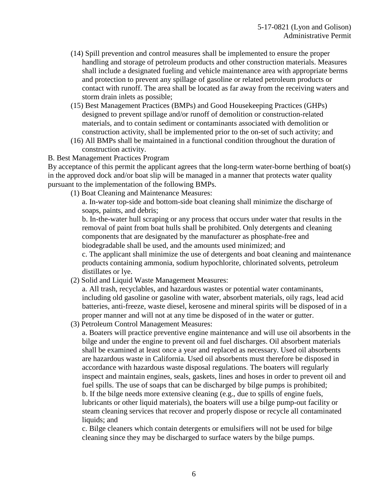- (14) Spill prevention and control measures shall be implemented to ensure the proper handling and storage of petroleum products and other construction materials. Measures shall include a designated fueling and vehicle maintenance area with appropriate berms and protection to prevent any spillage of gasoline or related petroleum products or contact with runoff. The area shall be located as far away from the receiving waters and storm drain inlets as possible;
- (15) Best Management Practices (BMPs) and Good Housekeeping Practices (GHPs) designed to prevent spillage and/or runoff of demolition or construction-related materials, and to contain sediment or contaminants associated with demolition or construction activity, shall be implemented prior to the on-set of such activity; and
- (16) All BMPs shall be maintained in a functional condition throughout the duration of construction activity.

#### B. Best Management Practices Program

By acceptance of this permit the applicant agrees that the long-term water-borne berthing of boat(s) in the approved dock and/or boat slip will be managed in a manner that protects water quality pursuant to the implementation of the following BMPs.

(1) Boat Cleaning and Maintenance Measures:

 a. In-water top-side and bottom-side boat cleaning shall minimize the discharge of soaps, paints, and debris;

 b. In-the-water hull scraping or any process that occurs under water that results in the removal of paint from boat hulls shall be prohibited. Only detergents and cleaning components that are designated by the manufacturer as phosphate-free and biodegradable shall be used, and the amounts used minimized; and

 c. The applicant shall minimize the use of detergents and boat cleaning and maintenance products containing ammonia, sodium hypochlorite, chlorinated solvents, petroleum distillates or lye.

(2) Solid and Liquid Waste Management Measures:

 a. All trash, recyclables, and hazardous wastes or potential water contaminants, including old gasoline or gasoline with water, absorbent materials, oily rags, lead acid batteries, anti-freeze, waste diesel, kerosene and mineral spirits will be disposed of in a proper manner and will not at any time be disposed of in the water or gutter.

(3) Petroleum Control Management Measures:

 a. Boaters will practice preventive engine maintenance and will use oil absorbents in the bilge and under the engine to prevent oil and fuel discharges. Oil absorbent materials shall be examined at least once a year and replaced as necessary. Used oil absorbents are hazardous waste in California. Used oil absorbents must therefore be disposed in accordance with hazardous waste disposal regulations. The boaters will regularly inspect and maintain engines, seals, gaskets, lines and hoses in order to prevent oil and fuel spills. The use of soaps that can be discharged by bilge pumps is prohibited; b. If the bilge needs more extensive cleaning (e.g., due to spills of engine fuels, lubricants or other liquid materials), the boaters will use a bilge pump-out facility or steam cleaning services that recover and properly dispose or recycle all contaminated liquids; and

 c. Bilge cleaners which contain detergents or emulsifiers will not be used for bilge cleaning since they may be discharged to surface waters by the bilge pumps.